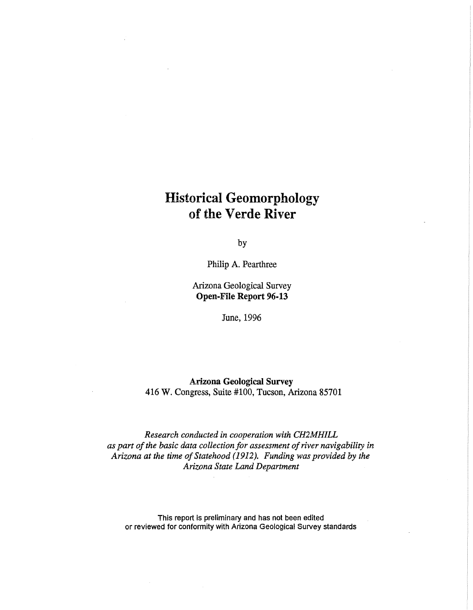# **Historical Geomorphology**  of **the Verde River**

by

Philip A. Pearthree

Arizona Geological Survey Open-File Report 96-13

June, 1996

Arizona Geological Survey 416 W. Congress, Suite #100, Tucson, Arizona 85701

*Research conducted in cooperation with CH2MHILL as part of the basic data collection for assessment of river navigability in Arizona at the time of Statehood* (1912 J. *Funding was provided* by *the Arizona State Land Department* 

This report is preliminary and has not been edited or reviewed for conformity with Arizona Geological Survey standards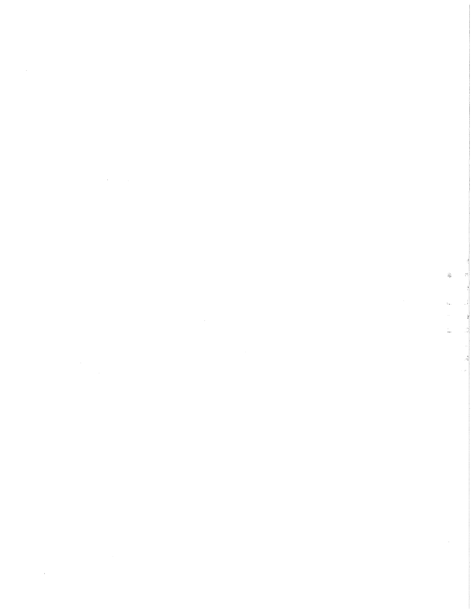$\label{eq:2.1} \frac{1}{\sqrt{2}}\left(\frac{1}{\sqrt{2}}\right)^{2} \left(\frac{1}{\sqrt{2}}\right)^{2} \left(\frac{1}{\sqrt{2}}\right)^{2} \left(\frac{1}{\sqrt{2}}\right)^{2} \left(\frac{1}{\sqrt{2}}\right)^{2} \left(\frac{1}{\sqrt{2}}\right)^{2} \left(\frac{1}{\sqrt{2}}\right)^{2} \left(\frac{1}{\sqrt{2}}\right)^{2} \left(\frac{1}{\sqrt{2}}\right)^{2} \left(\frac{1}{\sqrt{2}}\right)^{2} \left(\frac{1}{\sqrt{2}}\right)^{2} \left(\$ 

 $\alpha_{\rm eff}$ 

灞  $\mathcal{G}_{4}$ )<br>Angli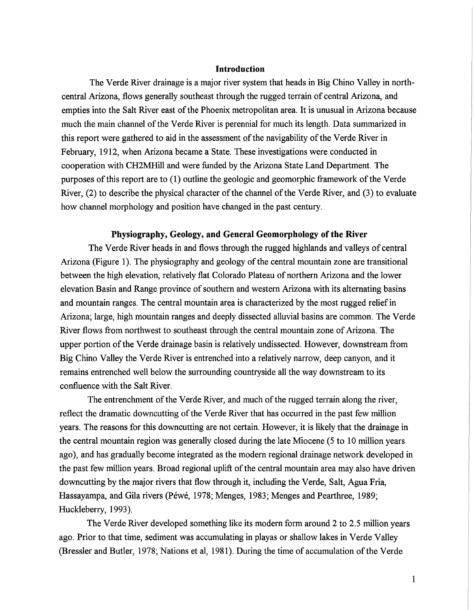#### **Introduction**

The Verde River drainage is a major river system that heads in Big Chino Valley in northcentral Arizona, flows generally southeast through the rugged terrain of central Arizona, and empties into the Salt River east of the Phoenix metropolitan area. It is unusual in Arizona because much the main channel of the Verde River is perennial for much its length. Data summarized in this report were gathered to aid in the assessment of the navigability of the Verde River in February, 1912, when Arizona became a State. These investigations were conducted in cooperation with CH2MHill and were funded by the Arizona State Land Department. The purposes of this report are to (1) outline the geologic and geomorphic framework of the Verde River, (2) to describe the physical character of the channel of the Verde River, and (3) to evaluate how channel morphology and position have changed in the past century.

## **Physiography, Geology, and General Geomorphology of the River**

The Verde River heads in and flows through the rugged highlands and valleys of central Arizona (Figure 1). The physiography and geology of the central mountain zone are transitional between the high elevation, relatively flat Colorado Plateau of northern Arizona and the lower elevation Basin and Range province of southern and western Arizona with its alternating basins and mountain ranges. The central mountain area is characterized by the most rugged relief in Arizona; large, high mountain ranges and deeply dissected alluvial basins are common. The Verde River flows from northwest to southeast through the central mountain zone of Arizona. The upper portion of the Verde drainage basin is relatively undissected. However, downstream from Big Chino Valley the Verde River is entrenched into a relatively narrow, deep canyon, and it remains entrenched well below the surrounding countryside all the way downstream to its confluence with the Salt River.

The entrenchment of the Verde River, and much of the rugged terrain along the river, reflect the dramatic downcutting of the Verde River that has occurred in the past few million years. The reasons for this downcutting are not certain. However, it is likely that the drainage in the central mountain region was generally closed during the late Miocene (5 to 10 million years ago), and has gradually become integrated as the modern regional drainage network developed in the past few million years. Broad regional uplift of the central mountain area may also have driven downcutting by the major rivers that flow through it, including the Verde, Salt, Agua Fria, Hassayampa, and Gila rivers (Péwé, 1978; Menges, 1983; Menges and Pearthree, 1989; Huckleberry, 1993).

The Verde River developed something like its modern form around 2 to 2.5 million years ago. Prior to that time, sediment was accumulating in playas or shallow lakes in Verde Valley (Bressler and Butler, 1978; Nations et aI, 1981). During the time of accumulation of the Verde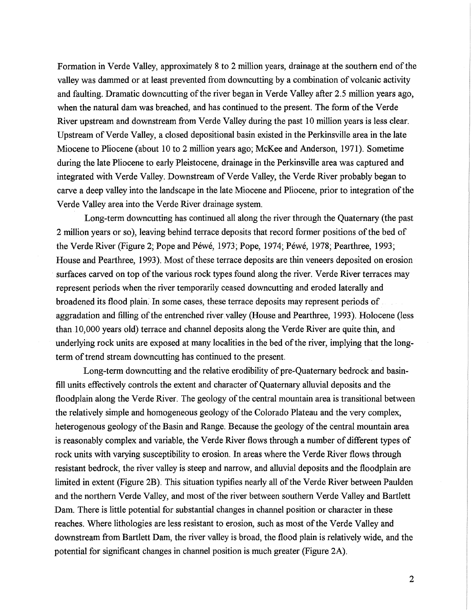Formation in Verde Valley, approximately 8 to 2 million years, drainage at the southern end of the valley was dammed or at least prevented from downcutting by a combination of volcanic activity and faulting. Dramatic downcutting of the river began in Verde Valley after 2.5 million years ago, when the natural dam was breached, and has continued to the present. The form of the Verde River upstream and downstream from Verde Valley during the past 10 million years is less clear. Upstream of Verde Valley, a closed depositional basin existed in the Perkinsville area in the late Miocene to Pliocene (about 10 to 2 million years ago; McKee and Anderson, 1971). Sometime during the late Pliocene to early Pleistocene, drainage in the Perkinsville area was captured and integrated with Verde Valley. Downstream of Verde Valley, the Verde River probably began to carve a deep valley into the landscape in the late Miocene and Pliocene, prior to integration of the Verde Valley area into the Verde River drainage system.

Long-term downcutting has continued all along the river through the Quaternary (the past 2 million years or so), leaving behind terrace deposits that record former positions of the bed of the Verde River (Figure 2; Pope and Péwé, 1973; Pope, 1974; Péwé, 1978; Pearthree, 1993; House and Pearthree, 1993). Most of these terrace deposits are thin veneers deposited on erosion surfaces carved on top of the various rock types found along the river. Verde River terraces may represent periods when the river temporarily ceased downcutting and eroded laterally and broadened its flood plain. In some cases, these terrace deposits may represent periods of aggradation and filling of the entrenched river valley (House and Pearthree, 1993). Holocene (less than 10,000 years old) terrace and channel deposits along the Verde River are quite thin, and underlying rock units are exposed at many localities in the bed of the river, implying that the longterm of trend stream downcutting has continued to the present.

Long-term downcutting and the relative erodibility of pre-Quaternary bedrock and basinfill units effectively controls the extent and character of Quaternary alluvial deposits and the floodplain along the Verde River. The geology of the central mountain area is transitional between the relatively simple and homogeneous geology of the Colorado Plateau and the very complex, heterogenous geology of the Basin and Range. Because the geology of the central mountain area is reasonably complex and variable, the Verde River flows through a number of different types of rock units with varying susceptibility to erosion. In areas where the Verde River flows through resistant bedrock, the river valley is steep and narrow, and alluvial deposits and the floodplain are limited in extent (Figure 2B). This situation typifies nearly all of the Verde River between Paulden and the northern Verde Valley, and most of the river between southern Verde Valley and Bartlett Dam. There is little potential for substantial changes in channel position or character in these reaches. Where lithologies are less resistant to erosion, such as most of the Verde Valley and downstream from Bartlett Dam, the river valley is broad, the flood plain is relatively wide, and the potential for significant changes in channel position is much greater (Figure 2A).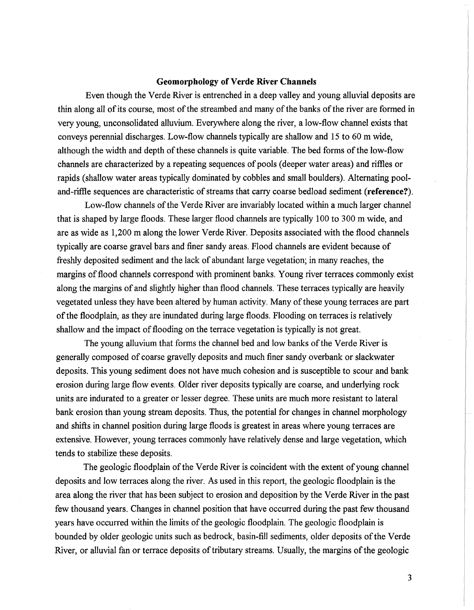#### **Geomorphology of Verde River Channels**

Even though the Verde River is entrenched in a deep valley and young alluvial deposits are thin along all of its course, most of the streambed and many of the banks of the river are formed in very young, unconsolidated alluvium. Everywhere along the river, a low-flow channel exists that conveys perennial discharges. Low-flow channels typically are shallow and 15 to 60 m wide, although the width and depth of these channels is quite variable. The bed forms of the low-flow channels are characterized by a repeating sequences of pools (deeper water areas) and riffles or rapids (shallow water areas typically dominated by cobbles and small boulders). Alternating pooland-riffle sequences are characteristic of streams that carry coarse bedload sediment **(reference?).** 

Low-flow channels of the Verde River are invariably located within a much larger channel that is shaped by large floods. These larger flood channels are typically 100 to 300 m wide, and are as wide as 1,200 m along the lower Verde River. Deposits associated with the flood channels typically are coarse gravel bars and finer sandy areas. Flood channels are evident because of freshly deposited sediment and the lack of abundant large vegetation; in many reaches, the margins of flood channels correspond with prominent banks. Young river terraces commonly exist along the margins of and slightly higher than flood channels. These terraces typically are heavily vegetated unless they have been altered by human activity. Many of these young terraces are part of the floodplain, as they are inundated during large floods. Flooding on terraces is relatively shallow and the impact of flooding on the terrace vegetation is typically is not great.

The young alluvium that forms the channel bed and low banks of the Verde River is generally composed of coarse gravelly deposits and much finer sandy overbank or slackwater deposits. This young sediment does not have much cohesion and is susceptible to scour and bank erosion during large flow events. Older river deposits typically are coarse, and underlying rock units are indurated to a greater or lesser degree. These units are much more resistant to lateral bank erosion than young stream deposits. Thus, the potential for changes in channel morphology and shifts in channel position during large floods is greatest in areas where young terraces are extensive. However, young terraces commonly have relatively dense and large vegetation, which tends to stabilize these deposits.

The geologic floodplain of the Verde River is coincident with the extent of young channel deposits and low terraces along the river. As used in this report, the geologic floodplain is the area along the river that has been subject to erosion and deposition by the Verde River in the past few thousand years. Changes in channel position that have occurred during the past few thousand years have occurred within the limits of the geologic floodplain. The geologic floodplain is bounded by older geologic units such as bedrock, basin-fill sediments, older deposits of the Verde River, or alluvial fan or terrace deposits of tributary streams. Usually, the margins of the geologic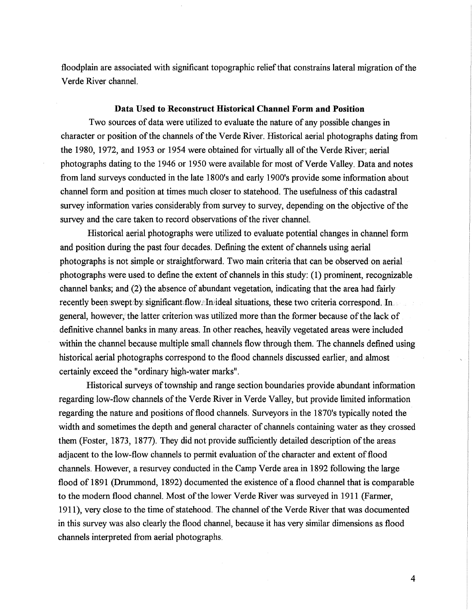floodplain are associated with significant topographic relief that constrains lateral migration of the Verde River channel.

## **Data Used** to Reconstruct **Historical Channel Form and Position**

Two sources of data were utilized to evaluate the nature of any possible changes in character or position of the channels of the Verde River. Historical aerial photographs dating from the 1980, 1972, and 1953 or 1954 were obtained for virtually all of the Verde River; aerial photographs dating to the 1946 or 1950 were available for most of Verde Valley. Data and notes from land surveys conducted in the late 1800's and early 1900's provide some information about channel form and position at times much closer to statehood. The usefulness of this cadastral survey information varies considerably from survey to survey, depending on the objective of the survey and the care taken to record observations of the river channel.

Historical aerial photographs were utilized to evaluate potential changes in channel form and position during the past four decades. Defining the extent of channels using aerial photographs is not simple or straightforward. Two main criteria that can be observed on aerial photographs were used to define the extent of channels in this study: (1) prominent, recognizable channel banks; and (2) the absence of abundant vegetation, indicating that the area had fairly recently been swept by significant flow. In ideal situations, these two criteria correspond. In general, however,' the latter criterion was utilized more than the former because of the lack of definitive channel banks in many areas. In other reaches, heavily vegetated areas were included within the channel because multiple small channels flow through them. The channels defined using historical aerial photographs correspond to the flood channels discussed earlier, and almost certainly exceed the "ordinary high-water marks".

Historical surveys of township and range section boundaries provide abundant information regarding low-flow channels of the Verde River in Verde Valley, but provide limited information regarding the nature and positions of flood channels. Surveyors in the 1870's typically noted the width and sometimes the depth and general character of channels containing water as they crossed them (Foster, 1873, 1877). They did not provide sufficiently detailed description of the areas adjacent to the low-flow channels to permit evaluation of the character and extent of flood channels. However, a resurvey conducted in the Camp Verde area in 1892 following the large flood of 1891 (Drummond, 1892) documented the existence of a flood channel that is comparable to the modern flood channel. Most of the lower Verde River was surveyed in 1911 (Farmer, 1911), very close to the time of statehood. The channel of the Verde River that was documented in this survey was also clearly the flood channel, because it has very similar dimensions as flood channels interpreted from aerial photographs.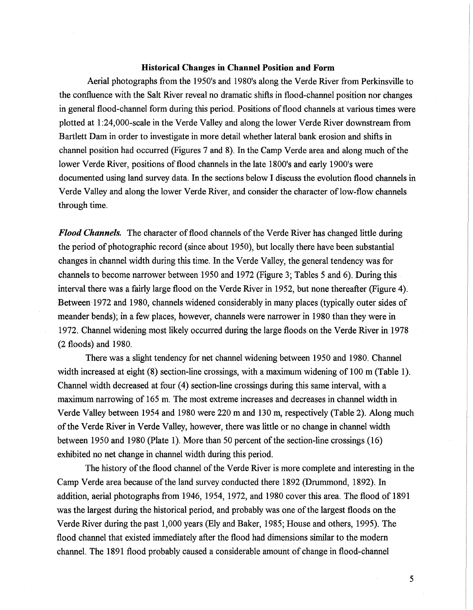#### **Historical Changes in Channel Position and Form**

Aerial photographs from the 1950's and 1980's along the Verde River from Perkinsville to the confluence with the Salt River reveal no dramatic shifts in flood-channel position nor changes in general flood-channel form during this period. Positions of flood channels at various times were plotted at 1:24,000-scale in the Verde Valley and along the lower Verde River downstream from Bartlett Dam in order to investigate in more detail whether lateral bank erosion and shifts in channel position had occurred (Figures 7 and 8). In the Camp Verde area and along much of the lower Verde River, positions of flood channels in the late 1800's and early 1900's were documented using land survey data. In the sections below I discuss the evolution flood channels in Verde Valley and along the lower Verde River, and consider the character of low-flow channels through time.

*Flood Channels.* The character of flood channels of the Verde River has changed little during the period of photographic record (since about 1950), but locally there have been substantial changes in channel width during this time. In the Verde Valley, the general tendency was for channelsto become narrower between 1950 and 1972 (Figure 3; Tables 5 and 6). During this interval there was a fairly large flood on the Verde River in 1952, but none thereafter (Figure 4). Between 1972 and 1980, channels widened considerably in many places (typically outer sides of meander bends); in a few places, however, channels were narrower in 1980 than they were in 1972. Channel widening most likely occurred during the large floods on the Verde River in 1978 (2 floods) and 1980.

There was a slight tendency for net channel widening between 1950 and 1980. Channel width increased at eight (8) section-line crossings, with a maximum widening of 100 m (Table 1). Channel width decreased at four (4) section-line crossings during this same interval, with a maximum narrowing of 165 m. The most extreme increases and decreases in channel width in Verde Valley between 1954 and 1980 were 220 m and 130 m, respectively (Table 2). Along much of the Verde River in Verde Valley, however, there was little or no change in channel width between 1950 and 1980 (Plate 1). More than 50 percent of the section-line crossings (16) exhibited no net change in channel width during this period.

The history of the flood channel of the Verde River is more complete and interesting in the Camp Verde area because of the land survey conducted there 1892 (Drummond, 1892). In addition, aerial photographs from 1946, 1954, 1972, and 1980 cover this area. The flood of 1891 was the largest during the historical period, and probably was one of the largest floods on the Verde River during the past 1,000 years (Ely and Baker, 1985; House and others, 1995). The flood channel that existed immediately after the flood had dimensions similar to the modern channel. The 1891 flood probably caused a considerable amount of change in flood-channel

5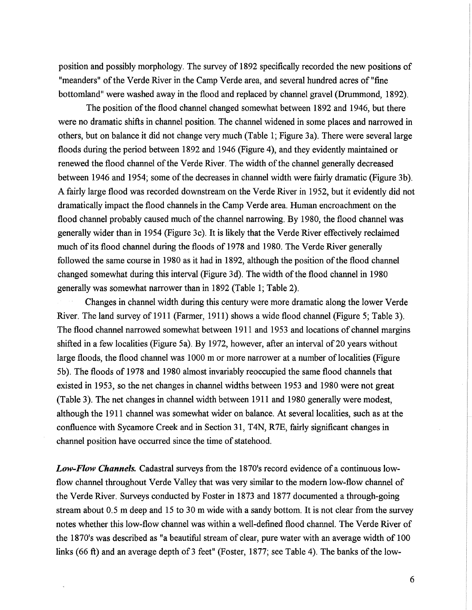position and possibly morphology. The survey of 1892 specifically recorded the new positions of "meanders" of the Verde River in the Camp Verde area, and several hundred acres of "fine bottomland" were washed away in the flood and replaced by channel gravel (Drummond, 1892).

The position of the flood channel changed somewhat between 1892 and 1946, but there were no dramatic shifts in channel position. The channel widened in some places and narrowed in others, but on balance it did not change very much (Table 1; Figure 3a). There were several large floods during the period between 1892 and 1946 (Figure 4), and they evidently maintained or renewed the flood channel of the Verde River. The width of the channel generally decreased between 1946 and 1954; some of the decreases in channel width were fairly dramatic (Figure 3b). A fairly large flood was recorded downstream on the Verde River in 1952, but it evidently did not dramatically impact the flood channels in the Camp Verde area. Human encroachment on the flood channel probably caused much of the channel narrowing. By 1980, the flood channel was generally wider than in 1954 (Figure 3c). It is likely that the Verde River effectively reclaimed much of its flood channel during the floods of 1978 and 1980. The Verde River generally followed the same course in 1980 as it had in 1892, although the position of the flood channel changed somewhat during this interval (Figure 3d). The width of the flood channel in 1980 generally was somewhat narrower than in 1892 (Table 1; Table 2).

Changes in channel width during this century were more dramatic along the lower Verde River. The land survey of 1911 (Farmer, 1911) shows a wide flood channel (Figure 5; Table 3). The flood channel narrowed somewhat between 1911 and 1953 and locations of channel margins shifted in a few localities (Figure 5a). By 1972, however, after an interval of 20 years without large floods, the flood channel was 1000 m or more narrower at a number of localities (Figure 5b). The floods of 1978 and 1980 almost invariably reoccupied the same flood channels that existed in 1953, so the net changes in channel widths between 1953 and 1980 were not great (Table 3). The net changes in channel width between 1911 and 1980 generally were modest, although the 1911 channel was somewhat wider on balance. At several localities, such as at the confluence with Sycamore Creek and in Section 31, T4N, R7E, fairly significant changes in channel position have occurred since the time of statehood.

*Low-Flow Channels.* Cadastral surveys from the 1870's record evidence of a continuous lowflow channel throughout Verde Valley that was very similar to the modern low-flow channel of the Verde River. Surveys conducted by Foster in 1873 and 1877 documented a through-going stream about 0.5 m deep and 15 to 30 m wide with a sandy bottom. It is not clear from the survey notes whether this low-flow channel was within a well-defined flood channel. The Verde River of the 1870's was described as "a beautiful stream of clear, pure water with an average width of 1 00 links (66 ft) and an average depth of 3 feet" (Foster, 1877; see Table 4). The banks of the low-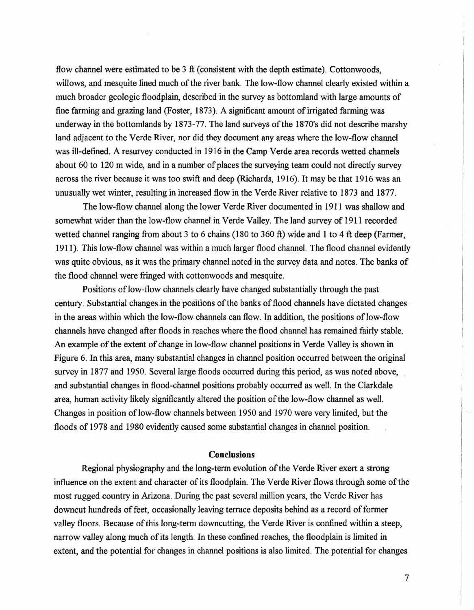flow channel were estimated to be 3 ft (consistent with the depth estimate). Cottonwoods, willows, and mesquite lined much of the river bank. The low-flow channel clearly existed within a much broader geologic floodplain, described in the survey as bottomland with large amounts of fine farming and grazing land (Foster, 1873). A significant amount of irrigated farming was underway in the bottomlands by 1873-77. The land surveys of the 1870's did not describe marshy land adjacent to the Verde River, nor did they document any areas where the low-flow channel was ill-defined. A resurvey conducted in 1916 in the Camp Verde area records wetted channels about 60 to 120 m wide, and in a number of places the surveying team could not directly survey across the river because it was too swift and deep (Richards, 1916). It may be that 1916 was an unusually wet winter, resulting in increased flow in the Verde River relative to 1873 and 1877.

The low-flow channel along the lower Verde River documented in 1911 was shallow and somewhat wider than the low-flow channel in Verde Valley. The land survey of 1911 recorded wetted channel ranging from about 3 to 6 chains (180 to 360 ft) wide and 1 to 4 ft deep (Farmer, 1911). This low-flow channel was within a much larger flood channel. The flood channel evidently was quite obvious, as it was the primary channel noted in the survey data and notes. The banks of the flood channel were fringed with cottonwoods and mesquite.

Positions of low-flow channels clearly have changed substantially through the past century. Substantial changes in the positions of the banks of flood channels have dictated changes in the areas within which the low-flow channels can flow. In addition, the positions of low-flow channels have changed after floods in.reaches where the flood channel has remained fairly stable. An example of the extent of change in low-flow channel positions in Verde Valley is shown in Figure 6. In this area, many substantial changes in channel position occurred between the original survey in 1877 and 1950. Several large floods occurred during this period, as was noted above, and substantial changes in flood-channel positions probably occurred as well. In the Clarkdale area, human activity likely significantly altered the position of the low-flow channel as well. Changes in position of low-flow channels between 1950 and 1970 were very limited, but the floods of 1978 and 1980 evidently caused some substantial changes in channel position.

## **Conclusions**

Regional physiography and the long-term evolution of the Verde River exert a strong influence on the extent and character of its floodplain. The Verde River flows through some of the most rugged country in Arizona. During the past several million years, the Verde River has downcut hundreds of feet, occasionally leaving terrace deposits behind as a record of former valley floors. Because of this long-term downcutting, the Verde River is confined within a steep, narrow valley along much of its length. In these confined reaches, the floodplain is limited in extent, and the potential for changes in channel positions is also limited. The potential for changes

7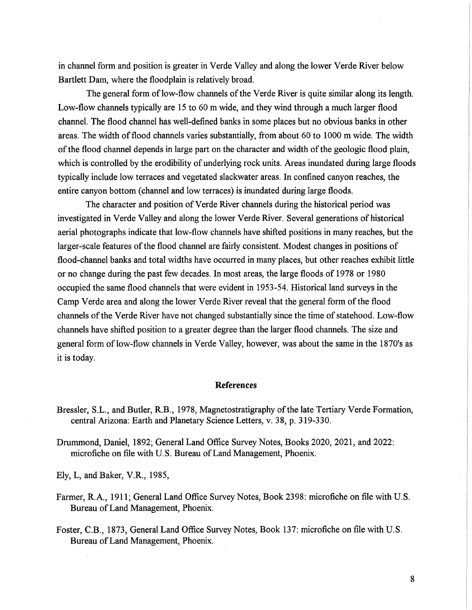in channel form and position is greater in Verde Valley and along the lower Verde River below Bartlett Dam, where the floodplain is relatively broad.

The general form of low-flow channels of the Verde River is quite similar along its length. Low-flow channels typically are 15 to 60 m wide, and they wind through a much larger flood channel. The flood channel has well-defined banks in some places but no obvious banks in other areas. The width of flood channels varies substantially, from about 60 to 1000 m wide. The width of the flood channel depends in large part on the character and width of the geologic flood plain, which is controlled by the erodibility of underlying rock units. Areas inundated during large floods typically include low terraces and vegetated slackwater areas. In confined canyon reaches, the entire canyon bottom (channel and low terraces) is inundated during large floods.

The character and position of Verde River channels during the historical period was investigated in Verde Valley and along the lower Verde River. Several generations of historical aerial photographs indicate that low-flow channels have shifted positions in many reaches, but the larger-scale features of the flood channel are fairly consistent. Modest changes in positions of flood-channel banks and total widths have occurred in many places, but other reaches exhibit little or no change during the past few decades. In most areas, the large floods of 1978 or 1980 occupied the same flood channels that were evident in 1953-54. Historical land surveys in the Camp Verde area and along the lower Verde River reveal that the general form of the flood channels of the Verde River have not changed substantially since the time of statehood. Low-flow channels have shifted position to a greater degree than the larger flood channels. The size and general form of low-flow channels in Verde Valley, however, was about the same in the 1870's as it is today.

## **References**

Bressler, S.L., and Butler, R.B., 1978, Magnetostratigraphy of the late Tertiary Verde Formation, central Arizona: Earth and Planetary Science Letters, v. 38, p. 319-330.

Drummond, Daniel, 1892; General Land Office Survey Notes, Books 2020, 2021, and 2022: microfiche on file with U.S. Bureau of Land Management, Phoenix.

Ely, L, and Baker, Y.R, 1985,

- Farmer, RA., 1911; General Land Office Survey Notes, Book 2398: microfiche on file with U.S. Bureau of Land Management, Phoenix.
- Foster, C.B., 1873, General Land Office Survey Notes, Book 137: microfiche on file with U.S. Bureau of Land Management, Phoenix.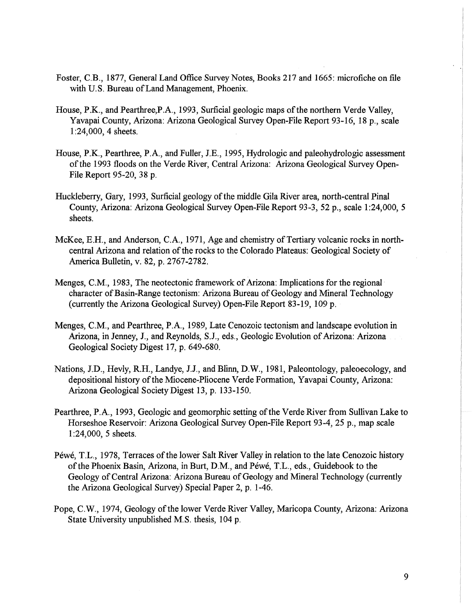- Foster, C.B., 1877, General Land Office Survey Notes, Books 217 and 1665: microfiche on file with U.S. Bureau of Land Management, Phoenix.
- House, P.K., and Pearthree,P.A., 1993, Surficial geologic maps of the northern Verde Valley, Yavapai County, Arizona: Arizona Geological Survey Open-File Report 93-16, 18 p., scale 1:24,000, 4 sheets.
- House, P.K., Pearthree, P.A., and Fuller, J.E., 1995, Hydrologic and paleohydrologic assessment of the 1993 floods on the Verde River, Central Arizona: Arizona Geological Survey Open-File Report 95-20, 38 p.
- Huckleberry, Gary, 1993, Surficial geology of the middle Gila River area, north-central Pinal County, Arizona: Arizona Geological Survey Open-File Report 93-3, 52 p., scale 1:24,000, 5 sheets.
- McKee, E.H., and Anderson, C.A., 1971, Age and chemistry of Tertiary volcanic rocks in northcentral Arizona and relation of the rocks to the Colorado Plateaus: Geological Society of America Bulletin, v. 82, p. 2767-2782.
- Menges, C.M., 1983, The neotectonic framework of Arizona: Implications for the regional character of Basin-Range tectonism: Arizona Bureau of Geology and Mineral Technology (currently the Arizona Geological Survey) Open-File Report 83-19, 109 p.
- Menges, C.M., and Pearthree, P.A., 1989, Late Cenozoic tectonism and landscape evolution in Arizona, in Jenney, l, and Reynolds, S.l, eds., Geologic Evolution of Arizona: Arizona Geological Society Digest 17, p. 649-680.
- Nations, J.D., Hevly, R.H., Landye, J.J., and Blinn, D.W., 1981, Paleontology, paleoecology, and depositional history of the Miocene-Pliocene Verde Formation, Yavapai County, Arizona: Arizona Geological Society Digest 13, p. 133-150.
- Pearthree, P.A., 1993, Geologic and geomorphic setting of the Verde River from Sullivan Lake to Horseshoe Reservoir: Arizona Geological Survey Open-File Report 93-4, 25 p., map scale 1:24,000, 5 sheets.
- Pewe, T.L., 1978, Terraces of the lower Salt River Valley in relation to the late Cenozoic history of the Phoenix Basin, Arizona, in Burt, D.M., and Pewe, T.L., eds., Guidebook to the Geology of Central Arizona: Arizona Bureau of Geology and Mineral Technology (currently the Arizona Geological Survey) Special Paper 2, p. 1-46.
- Pope, C.W., 1974, Geology of the lower Verde River Valley, Maricopa County, Arizona: Arizona State University unpublished M.S. thesis, 104 p.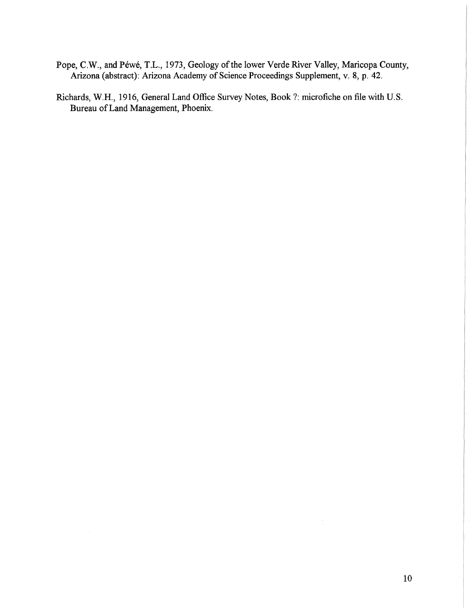- Pope, C.W., and Péwé, T.L., 1973, Geology of the lower Verde River Valley, Maricopa County, Arizona (abstract): Arizona Academy of Science Proceedings Supplement, v. 8, p. 42.
- Richards, W.H., 1916, General Land Office Survey Notes, Book 7: microfiche on file with U.S. Bureau of Land Management, Phoenix.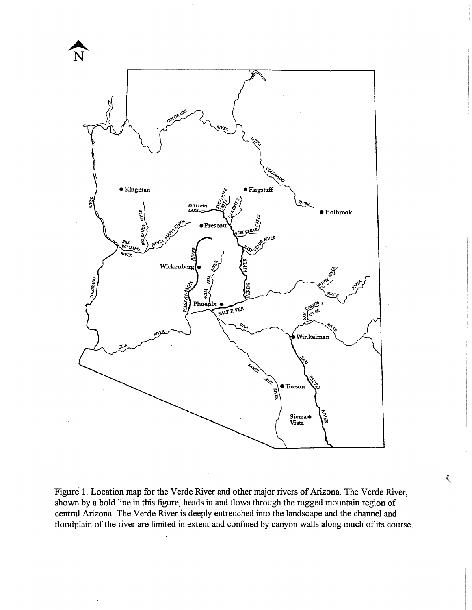N



Figure 1. Location map for the Verde River and other major rivers of Arizona. The Verde River, shown by a bold line in this figure, heads in and flows through the rugged mountain region of central Arizona. The Verde River is deeply entrenched into the landscape and the channel and floodplain of the river are limited in extent and confined by canyon walls along much of its course.  $\mathbf{z}_i$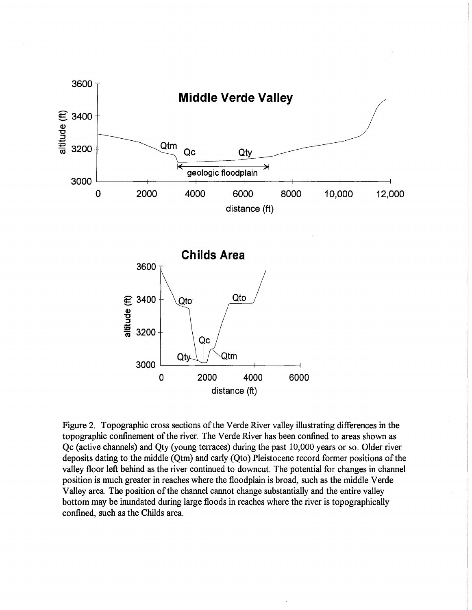

Figure 2. Topographic cross sections of the Verde River valley illustrating differences in the topographic confinement of the river. The Verde River has been confined to areas shown as Qc (active channels) and Qty (young terraces) during the past 10,000 years or so. Older river deposits dating to the middle (Qtm) and early (Qto) Pleistocene record former positions of the valley floor left behind as the river continued to downcut. The potential for changes in channel position is much greater in reaches where the floodplain is broad, such as the middle Verde Valley area. The position of the channel cannot change substantially and the entire valley bottom may be inundated during large floods in reaches where the river is topographically confined, such as the Childs area.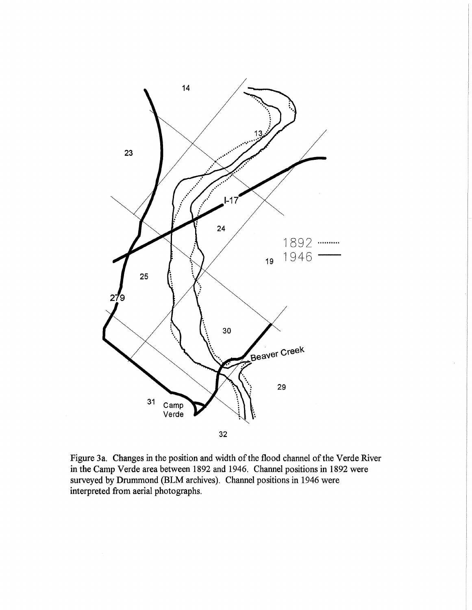

Figure 3a. Changes in the position and width of the flood channel of the Verde River in the Camp Verde area between 1892 and 1946. Channel positions in 1892 were surveyed by Drummond (BLM archives). Channel positions in 1946 were interpreted from aerial photographs.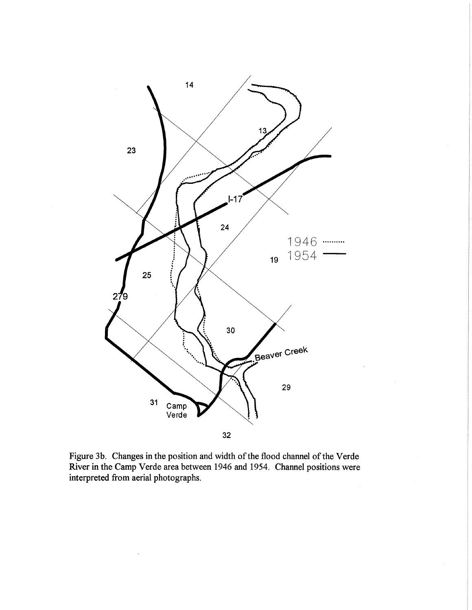

Figure 3b. Changes in the position and width of the flood channel of the Verde River in the Camp Verde area between 1946 and 1954. Channel positions were interpreted from aerial photographs.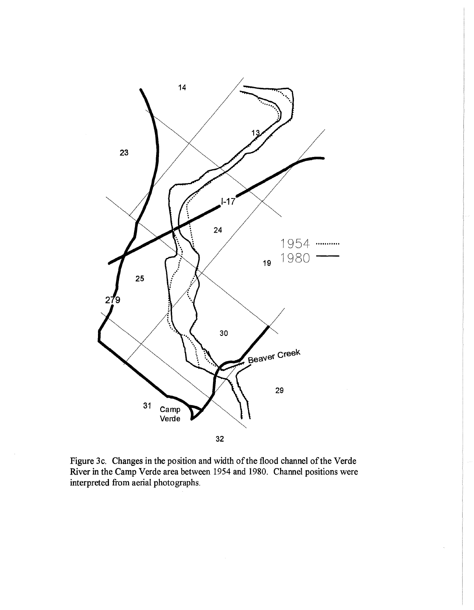

Figure 3c. Changes in the position and width of the flood channel of the Verde River in the Camp Verde area between 1954 and 1980. Channel positions were interpreted from aerial photographs.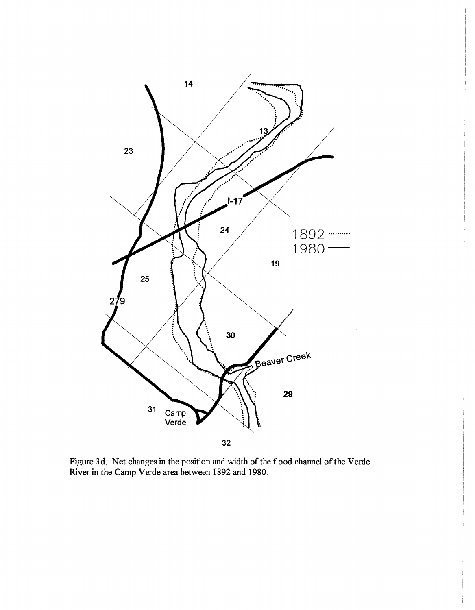

Figure 3d. Net changes in the position and width of the flood channel of the Verde River in the Camp Verde area between 1892 and 1980.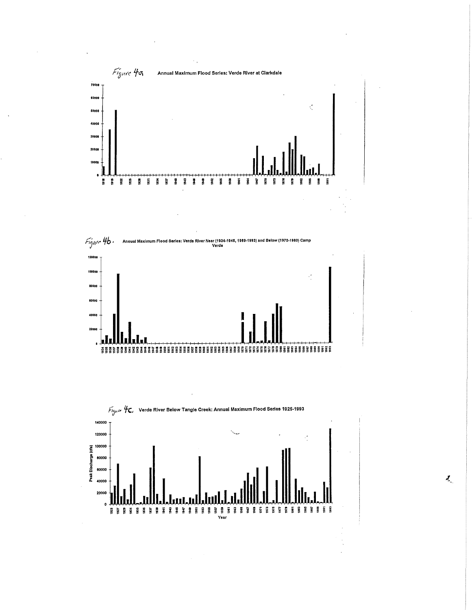





 $\bar{\mathcal{L}}$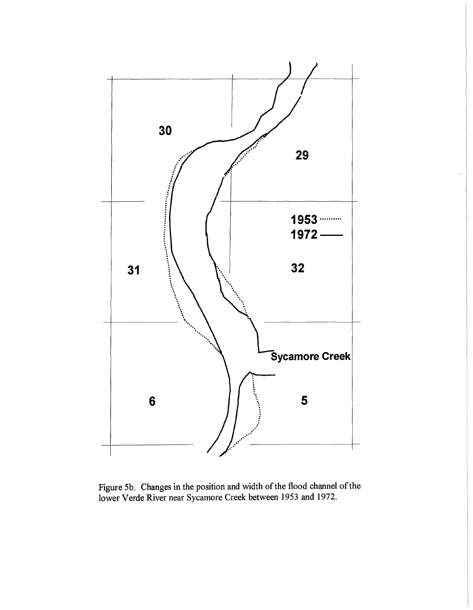

Figure 5b. Changes in the position and width of the flood channel of the lower Verde River near Sycamore Creek between 1953 and 1972.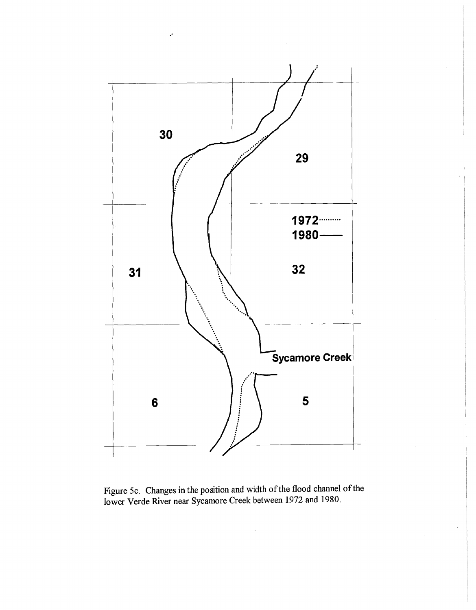

.'

Figure 5c. Changes in the position and width of the flood channel of the lower Verde River near Sycamore Creek between 1972 and 1980.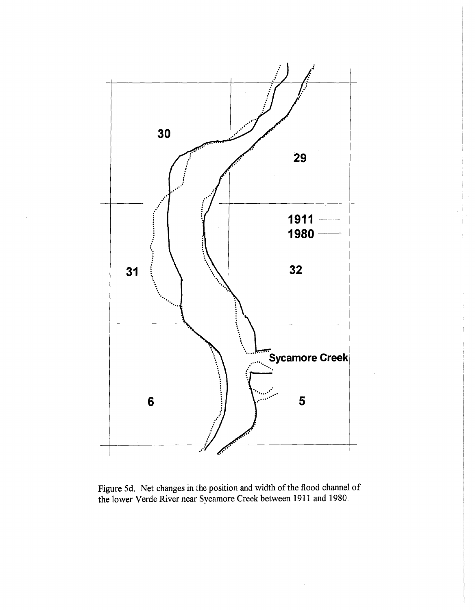

Figure 5d. Net changes in the position and width of the flood channel of the lower Verde River near Sycamore Creek between 1911 and 1980.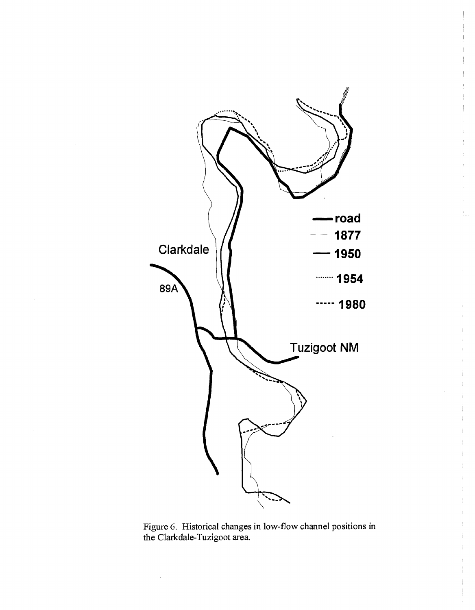

Figure 6. Historical changes in low-flow channel positions in the Clarkdale-Tuzigoot area.

 $\ddot{\phantom{a}}$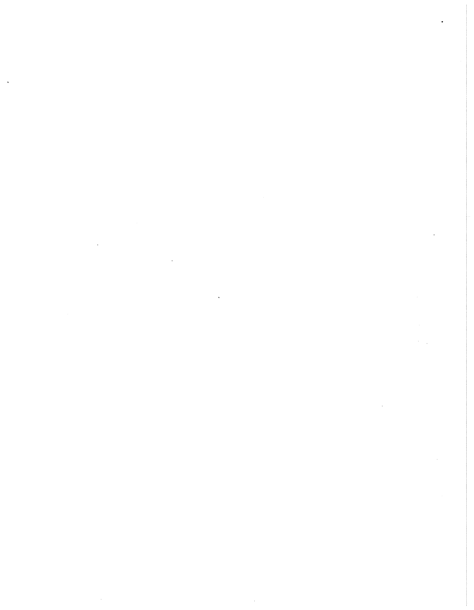$\mathcal{A}^{\text{max}}$  $\mathcal{L}(\mathcal{L})$  .  $\mathcal{L}^{\mathcal{L}}(\mathcal{L}^{\mathcal{L}})$  and  $\mathcal{L}^{\mathcal{L}}(\mathcal{L}^{\mathcal{L}})$  . In the case of  $\mathcal{L}^{\mathcal{L}}$  $\label{eq:2.1} \frac{1}{\sqrt{2}}\left(\frac{1}{\sqrt{2}}\right)^{2} \left(\frac{1}{\sqrt{2}}\right)^{2} \left(\frac{1}{\sqrt{2}}\right)^{2} \left(\frac{1}{\sqrt{2}}\right)^{2} \left(\frac{1}{\sqrt{2}}\right)^{2} \left(\frac{1}{\sqrt{2}}\right)^{2} \left(\frac{1}{\sqrt{2}}\right)^{2} \left(\frac{1}{\sqrt{2}}\right)^{2} \left(\frac{1}{\sqrt{2}}\right)^{2} \left(\frac{1}{\sqrt{2}}\right)^{2} \left(\frac{1}{\sqrt{2}}\right)^{2} \left(\$  $\mathcal{L}(\mathcal{A})$  .  $\label{eq:2.1} \frac{1}{\sqrt{2}}\sum_{i=1}^n\frac{1}{\sqrt{2}}\sum_{i=1}^n\frac{1}{\sqrt{2}}\sum_{i=1}^n\frac{1}{\sqrt{2}}\sum_{i=1}^n\frac{1}{\sqrt{2}}\sum_{i=1}^n\frac{1}{\sqrt{2}}\sum_{i=1}^n\frac{1}{\sqrt{2}}\sum_{i=1}^n\frac{1}{\sqrt{2}}\sum_{i=1}^n\frac{1}{\sqrt{2}}\sum_{i=1}^n\frac{1}{\sqrt{2}}\sum_{i=1}^n\frac{1}{\sqrt{2}}\sum_{i=1}^n\frac$  $\sim 30$ 

 $\sim 6\%$ 

 $\sim$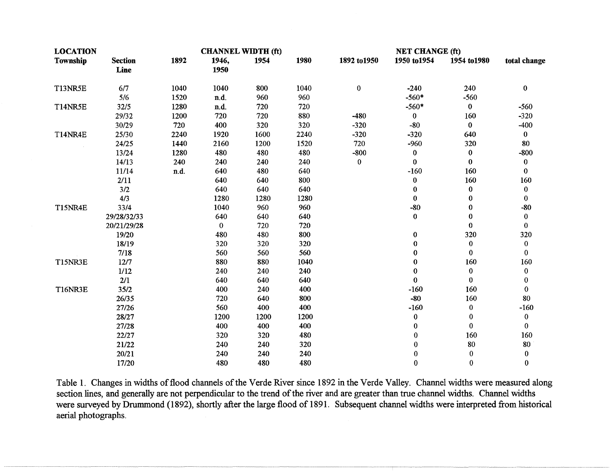| <b>LOCATION</b> |                        | <b>CHANNEL WIDTH (ft)</b> |               |      |      | <b>NET CHANGE (ft)</b> |              |                  |                  |
|-----------------|------------------------|---------------------------|---------------|------|------|------------------------|--------------|------------------|------------------|
| Township        | <b>Section</b><br>Line | 1892                      | 1946,<br>1950 | 1954 | 1980 | 1892 to 1950           | 1950 to 1954 | 1954 to 1980     | total change     |
| T13NR5E         | 6/7                    | 1040                      | 1040          | 800  | 1040 | $\pmb{0}$              | $-240$       | 240              | $\pmb{0}$        |
|                 | 5/6                    | 1520                      | n.d.          | 960  | 960  |                        | $-560*$      | $-560$           |                  |
| T14NR5E         | 32/5                   | 1280                      | n.d.          | 720  | 720  |                        | $-560*$      | $\bf{0}$         | $-560$           |
|                 | 29/32                  | 1200                      | 720           | 720  | 880  | $-480$                 | $\bf{0}$     | 160              | $-320$           |
|                 | 30/29                  | 720                       | 400           | 320  | 320  | $-320$                 | $-80$        | $\bf{0}$         | $-400$           |
| <b>T14NR4E</b>  | 25/30                  | 2240                      | 1920          | 1600 | 2240 | $-320$                 | $-320$       | 640              | $\bf{0}$         |
|                 | 24/25                  | 1440                      | 2160          | 1200 | 1520 | 720                    | $-960$       | 320              | 80               |
|                 | 13/24                  | 1280                      | 480           | 480  | 480  | $-800$                 | $\bf{0}$     | $\pmb{0}$        | $-800$           |
|                 | 14/13                  | 240                       | 240           | 240  | 240  | $\pmb{0}$              | $\bf{0}$     | $\bf{0}$         | $\boldsymbol{0}$ |
|                 | 11/14                  | n.d.                      | 640           | 480  | 640  |                        | $-160$       | 160              | $\bf{0}$         |
|                 | 2/11                   |                           | 640           | 640  | 800  |                        | $\bf{0}$     | 160              | 160              |
|                 | 3/2                    |                           | 640           | 640  | 640  |                        | $\bf{0}$     | $\bf{0}$         | $\bf{0}$         |
|                 | 4/3                    |                           | 1280          | 1280 | 1280 |                        | $\bf{0}$     | 0                | $\mathbf{0}$     |
| <b>T15NR4E</b>  | 33/4                   |                           | 1040          | 960  | 960  |                        | $-80$        | 0                | $-80$            |
|                 | 29/28/32/33            |                           | 640           | 640  | 640  |                        | $\pmb{0}$    | $\bf{0}$         | $\pmb{0}$        |
|                 | 20/21/29/28            |                           | $\bf{0}$      | 720  | 720  |                        |              | $\bf{0}$         | $\pmb{0}$        |
|                 | 19/20                  |                           | 480           | 480  | 800  |                        | 0            | 320              | 320              |
|                 | 18/19                  |                           | 320           | 320  | 320  |                        | $\bf{0}$     | $\pmb{0}$        | $\bf{0}$         |
|                 | 7/18                   |                           | 560           | 560  | 560  |                        | $\bf{0}$     | $\pmb{0}$        | $\pmb{0}$        |
| T15NR3E         | 12/7                   |                           | 880           | 880  | 1040 |                        | $\bf{0}$     | 160              | 160              |
|                 | 1/12                   |                           | 240           | 240  | 240  |                        | $\bf{0}$     | $\pmb{0}$        | $\pmb{0}$        |
|                 | 2/1                    |                           | 640           | 640  | 640  |                        | $\Omega$     | $\bf{0}$         | 0                |
| <b>T16NR3E</b>  | 35/2                   |                           | 400           | 240  | 400  |                        | $-160$       | 160              | $\pmb{0}$        |
|                 | 26/35                  |                           | 720           | 640  | 800  |                        | $-80$        | 160              | 80               |
|                 | 27/26                  |                           | 560           | 400  | 400  |                        | $-160$       | $\pmb{0}$        | $-160$           |
|                 | 28/27                  |                           | 1200          | 1200 | 1200 |                        | $\bf{0}$     | $\boldsymbol{0}$ | $\bf{0}$         |
|                 | 27/28                  |                           | 400           | 400  | 400  |                        | 0            | $\bf{0}$         | $\bf{0}$         |
|                 | 22/27                  |                           | 320           | 320  | 480  |                        | 0            | 160              | 160              |
|                 | 21/22                  |                           | 240           | 240  | 320  |                        | 0            | $80\,$           | ${\bf 80}$       |
|                 | 20/21                  |                           | 240           | 240  | 240  |                        | 0            | $\bf{0}$         | 0                |
|                 | 17/20                  |                           | 480           | 480  | 480  |                        | $\bf{0}$     | $\bf{0}$         | $\bf{0}$         |

Table 1. Changes in widths of flood channels of the Verde River since 1892 in the Verde Valley. Channel widths were measured along section lines, and generally are not perpendicular to the trend of the river and are greater than true channel widths. Channel widths were surveyed by Drummond (1892), shortly after the large flood of 1891. Subsequent channel widths were interpreted from historical aerial photographs.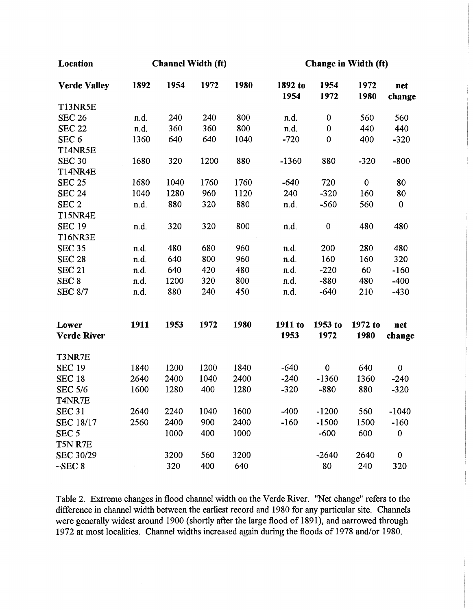| <b>Location</b>             | <b>Channel Width (ft)</b> |      |      |      | Change in Width (ft) |                  |                 |                  |
|-----------------------------|---------------------------|------|------|------|----------------------|------------------|-----------------|------------------|
| <b>Verde Valley</b>         | 1892                      | 1954 | 1972 | 1980 | 1892 to<br>1954      | 1954<br>1972     | 1972<br>1980    | net<br>change    |
| T13NR5E                     |                           |      |      |      |                      |                  |                 |                  |
| <b>SEC 26</b>               | n.d.                      | 240  | 240  | 800  | n.d.                 | 0                | 560             | 560              |
| <b>SEC 22</b>               | n.d.                      | 360  | 360  | 800  | n.d.                 | $\boldsymbol{0}$ | 440             | 440              |
| SEC <sub>6</sub>            | 1360                      | 640  | 640  | 1040 | $-720$               | $\mathbf 0$      | 400             | $-320$           |
| T14NR5E                     |                           |      |      |      |                      |                  |                 |                  |
| <b>SEC 30</b>               | 1680                      | 320  | 1200 | 880  | $-1360$              | 880              | $-320$          | $-800$           |
| T14NR4E                     |                           |      |      |      |                      |                  |                 |                  |
| <b>SEC 25</b>               | 1680                      | 1040 | 1760 | 1760 | $-640$               | 720              | $\bf{0}$        | 80               |
| <b>SEC 24</b>               | 1040                      | 1280 | 960  | 1120 | 240                  | $-320$           | 160             | 80               |
| SEC <sub>2</sub>            | n.d.                      | 880  | 320  | 880  | n.d.                 | $-560$           | 560             | $\boldsymbol{0}$ |
| T15NR4E                     |                           |      |      |      |                      |                  |                 |                  |
| <b>SEC 19</b>               | n.d.                      | 320  | 320  | 800  | n.d.                 | $\boldsymbol{0}$ | 480             | 480              |
| T16NR3E                     |                           |      |      |      |                      |                  |                 |                  |
| <b>SEC 35</b>               | n.d.                      | 480  | 680  | 960  | n.d.                 | 200              | 280             | 480              |
| <b>SEC 28</b>               | n.d.                      | 640  | 800  | 960  | n.d.                 | 160              | 160             | 320              |
| <b>SEC 21</b>               | n.d.                      | 640  | 420  | 480  | n.d.                 | $-220$           | 60              | $-160$           |
| SEC <sub>8</sub>            | n.d.                      | 1200 | 320  | 800  | n.d.                 | $-880$           | 480             | $-400$           |
| <b>SEC 8/7</b>              | n.d.                      | 880  | 240  | 450  | n.d.                 | $-640$           | 210             | $-430$           |
| Lower<br><b>Verde River</b> | 1911                      | 1953 | 1972 | 1980 | 1911 to<br>1953      | 1953 to<br>1972  | 1972 to<br>1980 | net<br>change    |
| T3NR7E                      |                           |      |      |      |                      |                  |                 |                  |
| <b>SEC 19</b>               | 1840                      | 1200 | 1200 | 1840 | $-640$               | $\boldsymbol{0}$ | 640             | 0                |
| <b>SEC 18</b>               | 2640                      | 2400 | 1040 | 2400 | $-240$               | $-1360$          | 1360            | $-240$           |
| <b>SEC 5/6</b>              | 1600                      | 1280 | 400  | 1280 | $-320$               | $-880$           | 880             | $-320$           |
| T4NR7E                      |                           |      |      |      |                      |                  |                 |                  |
| <b>SEC 31</b>               | 2640                      | 2240 | 1040 | 1600 | $-400$               | $-1200$          | 560             | $-1040$          |
| <b>SEC 18/17</b>            | 2560                      | 2400 | 900  | 2400 | $-160$               | $-1500$          | 1500            | $-160$           |
| SEC <sub>5</sub>            |                           | 1000 | 400  | 1000 |                      | $-600$           | 600             | $\bf{0}$         |
| T5N R7E                     |                           |      |      |      |                      |                  |                 |                  |
| <b>SEC 30/29</b>            |                           | 3200 | 560  | 3200 |                      | $-2640$          | 2640            | $\bf{0}$         |
| $\sim$ SEC 8                |                           | 320  | 400  | 640  |                      | 80               | 240             | 320              |

Table 2. Extreme changes in flood channel width on the Verde River. "Net change" refers to the difference in channel width between the earliest record and 1980 for any particular site. Channels were generally widest around 1900 (shortly after the large flood of 1891), and narrowed through 1972 at most localities. Channel widths increased again during the floods of 1978 and/or 1980.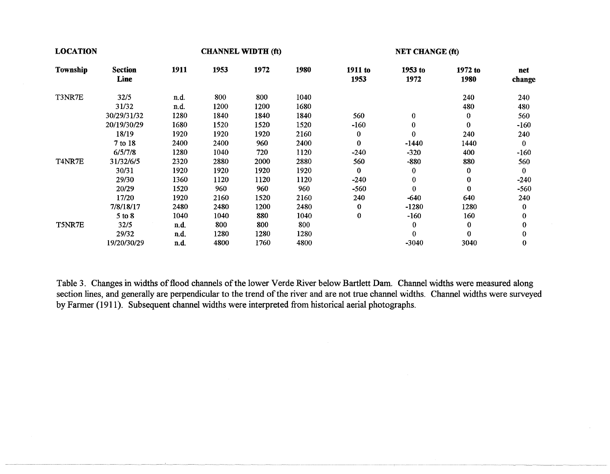| <b>LOCATION</b> |                        | <b>CHANNEL WIDTH (ft)</b> |      |      |      | <b>NET CHANGE (ft)</b> |                 |                 |               |
|-----------------|------------------------|---------------------------|------|------|------|------------------------|-----------------|-----------------|---------------|
| Township        | <b>Section</b><br>Line | 1911                      | 1953 | 1972 | 1980 | 1911 to<br>1953        | 1953 to<br>1972 | 1972 to<br>1980 | net<br>change |
| T3NR7E          | 32/5                   | n.d.                      | 800  | 800  | 1040 |                        |                 | 240             | 240           |
|                 | 31/32                  | n.d.                      | 1200 | 1200 | 1680 |                        |                 | 480             | 480           |
|                 | 30/29/31/32            | 1280                      | 1840 | 1840 | 1840 | 560                    | $\bf{0}$        | $\bf{0}$        | 560           |
|                 | 20/19/30/29            | 1680                      | 1520 | 1520 | 1520 | $-160$                 | $\mathbf{0}$    | $\bf{0}$        | $-160$        |
|                 | 18/19                  | 1920                      | 1920 | 1920 | 2160 | 0                      | 0               | 240             | 240           |
|                 | 7 to 18                | 2400                      | 2400 | 960  | 2400 | $\bf{0}$               | -1440           | 1440            | $\bf{0}$      |
|                 | 6/5/7/8                | 1280                      | 1040 | 720  | 1120 | $-240$                 | $-320$          | 400             | $-160$        |
| T4NR7E          | 31/32/6/5              | 2320                      | 2880 | 2000 | 2880 | 560                    | $-880$          | 880             | 560           |
|                 | 30/31                  | 1920                      | 1920 | 1920 | 1920 | $\bf{0}$               | $\bf{0}$        | 0               | $\bf{0}$      |
|                 | 29/30                  | 1360                      | 1120 | 1120 | 1120 | $-240$                 |                 | 0               | $-240$        |
|                 | 20/29                  | 1520                      | 960  | 960  | 960  | -560                   | 0               | 0               | $-560$        |
|                 | 17/20                  | 1920                      | 2160 | 1520 | 2160 | 240                    | -640            | 640             | 240           |
|                 | 7/8/18/17              | 2480                      | 2480 | 1200 | 2480 | 0                      | $-1280$         | 1280            | 0             |
|                 | $5$ to $8$             | 1040                      | 1040 | 880  | 1040 | $\bf{0}$               | $-160$          | 160             | $\bf{0}$      |
| T5NR7E          | 32/5                   | n.d.                      | 800  | 800  | 800  |                        | 0               | $\bf{0}$        | 0             |
|                 | 29/32                  | n.d.                      | 1280 | 1280 | 1280 |                        |                 | 0               | 0             |
|                 | 19/20/30/29            | n.d.                      | 4800 | 1760 | 4800 |                        | $-3040$         | 3040            | 0             |

Table 3. Changes in widths of flood channels of the lower Verde River below Bartlett Dam. Channel widths were measured along section lines, and generally are perpendicular to the trend of the river and are not true channel widths. Channel widths were surveyed by Farmer (1911). Subsequent channel widths were interpreted from historical aerial photographs.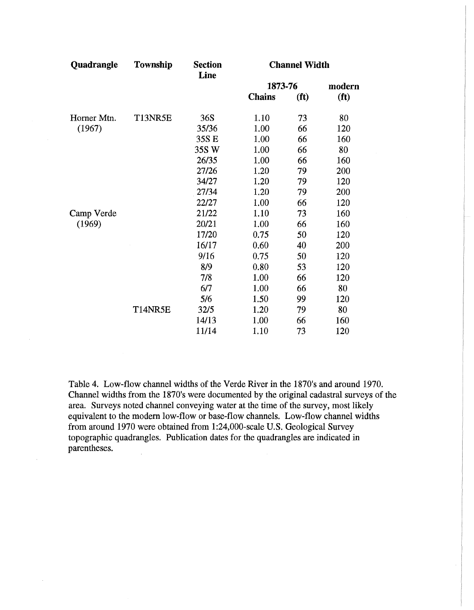| Quadrangle  | Township | <b>Section</b><br>Line | <b>Channel Width</b> |                   |                   |  |
|-------------|----------|------------------------|----------------------|-------------------|-------------------|--|
|             |          |                        | 1873-76              |                   | modern            |  |
|             |          |                        | <b>Chains</b>        | (f <sub>t</sub> ) | (f <sub>t</sub> ) |  |
| Horner Mtn. | T13NR5E  | 36S                    | 1.10                 | 73                | 80                |  |
| (1967)      |          | 35/36                  | 1.00                 | 66                | 120               |  |
|             |          | 35S E                  | 1.00                 | 66                | 160               |  |
|             |          | 35S W                  | 1.00                 | 66                | 80                |  |
|             |          | 26/35                  | 1.00                 | 66                | 160               |  |
|             |          | 27/26                  | 1.20                 | 79                | 200               |  |
|             |          | 34/27                  | 1.20                 | 79                | 120               |  |
|             |          | 27/34                  | 1.20                 | 79                | 200               |  |
|             |          | 22/27                  | 1.00                 | 66                | 120               |  |
| Camp Verde  |          | 21/22                  | 1.10                 | 73                | 160               |  |
| (1969)      |          | 20/21                  | 1.00                 | 66                | 160               |  |
|             |          | 17/20                  | 0.75                 | 50                | 120               |  |
|             |          | 16/17                  | 0.60                 | 40                | 200               |  |
|             |          | 9/16                   | 0.75                 | 50                | 120               |  |
|             |          | 8/9                    | 0.80                 | 53                | 120               |  |
|             |          | 7/8                    | 1.00                 | 66                | 120               |  |
|             |          | 6/7                    | 1.00                 | 66                | 80                |  |
|             |          | 5/6                    | 1.50                 | 99                | 120               |  |
|             | T14NR5E  | 32/5                   | 1.20                 | 79                | 80                |  |
|             |          | 14/13                  | 1.00                 | 66                | 160               |  |
|             |          | 11/14                  | 1.10                 | 73                | 120               |  |

Table 4. Low-flow channel widths of the Verde River in the 1870's and around 1970. Channel widths from the 1870's were documented by the original cadastral surveys of the area. Surveys noted channel conveying water at the time of the survey, most likely equivalent to the modern low-flow or base-flow channels. Low-flow channel widths from around 1970 were obtained from 1:24,000-scale U.S. Geological Survey topographic quadrangles. Publication dates for the quadrangles are indicated in parentheses.